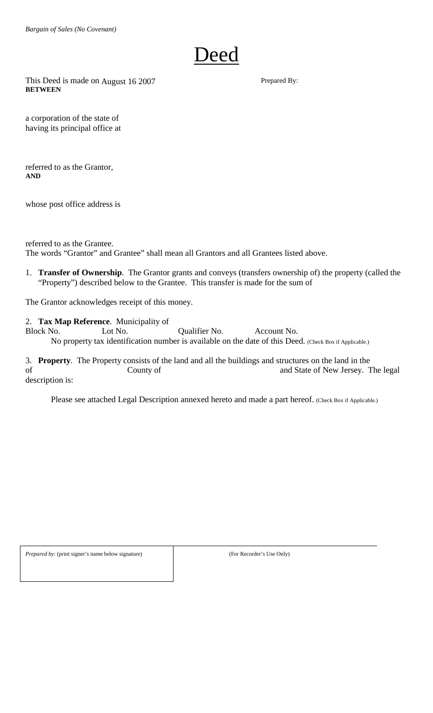

This Deed is made on August 16 2007 Prepared By: **BETWEEN** 

a corporation of the state of having its principal office at

referred to as the Grantor, **AND** 

whose post office address is

referred to as the Grantee. The words "Grantor" and Grantee" shall mean all Grantors and all Grantees listed above.

1. **Transfer of Ownership**. The Grantor grants and conveys (transfers ownership of) the property (called the "Property") described below to the Grantee. This transfer is made for the sum of

The Grantor acknowledges receipt of this money.

2. **Tax Map Reference**. Municipality of Block No. Lot No. Qualifier No. Account No. No property tax identification number is available on the date of this Deed. (Check Box if Applicable.)

3. **Property**. The Property consists of the land and all the buildings and structures on the land in the of County of County of and State of New Jersey. The legal description is:

Please see attached Legal Description annexed hereto and made a part hereof. (Check Box if Applicable.)

*Prepared by*: (print signer's name below signature) (For Recorder's Use Only)